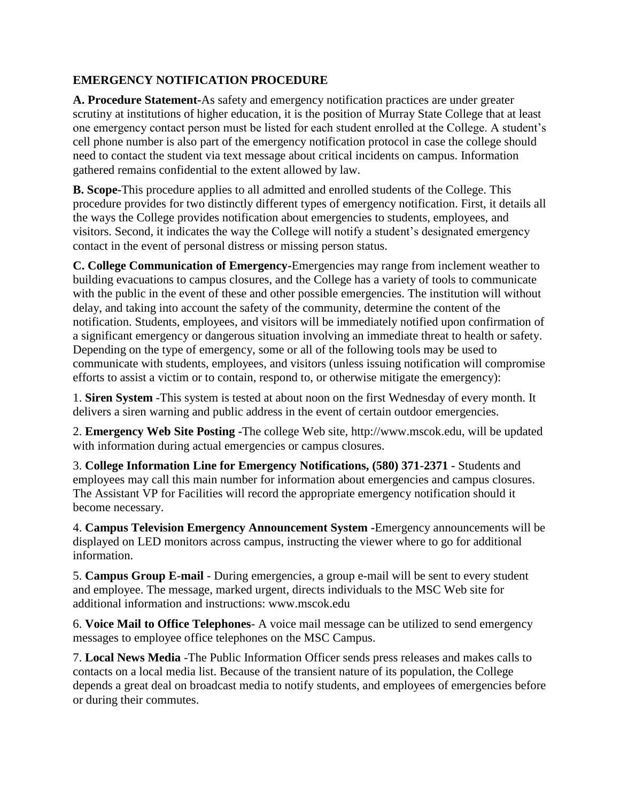## **EMERGENCY NOTIFICATION PROCEDURE**

**A. Procedure Statement-**As safety and emergency notification practices are under greater scrutiny at institutions of higher education, it is the position of Murray State College that at least one emergency contact person must be listed for each student enrolled at the College. A student's cell phone number is also part of the emergency notification protocol in case the college should need to contact the student via text message about critical incidents on campus. Information gathered remains confidential to the extent allowed by law.

**B. Scope-**This procedure applies to all admitted and enrolled students of the College. This procedure provides for two distinctly different types of emergency notification. First, it details all the ways the College provides notification about emergencies to students, employees, and visitors. Second, it indicates the way the College will notify a student's designated emergency contact in the event of personal distress or missing person status.

**C. College Communication of Emergency-**Emergencies may range from inclement weather to building evacuations to campus closures, and the College has a variety of tools to communicate with the public in the event of these and other possible emergencies. The institution will without delay, and taking into account the safety of the community, determine the content of the notification. Students, employees, and visitors will be immediately notified upon confirmation of a significant emergency or dangerous situation involving an immediate threat to health or safety. Depending on the type of emergency, some or all of the following tools may be used to communicate with students, employees, and visitors (unless issuing notification will compromise efforts to assist a victim or to contain, respond to, or otherwise mitigate the emergency):

1. **Siren System** -This system is tested at about noon on the first Wednesday of every month. It delivers a siren warning and public address in the event of certain outdoor emergencies.

2. **Emergency Web Site Posting -**The college Web site, http://www.mscok.edu, will be updated with information during actual emergencies or campus closures.

3. **College Information Line for Emergency Notifications, (580) 371-2371 -** Students and employees may call this main number for information about emergencies and campus closures. The Assistant VP for Facilities will record the appropriate emergency notification should it become necessary.

4. **Campus Television Emergency Announcement System -**Emergency announcements will be displayed on LED monitors across campus, instructing the viewer where to go for additional information.

5. **Campus Group E-mail** - During emergencies, a group e-mail will be sent to every student and employee. The message, marked urgent, directs individuals to the MSC Web site for additional information and instructions: www.mscok.edu

6. **Voice Mail to Office Telephones**- A voice mail message can be utilized to send emergency messages to employee office telephones on the MSC Campus.

7. **Local News Media** -The Public Information Officer sends press releases and makes calls to contacts on a local media list. Because of the transient nature of its population, the College depends a great deal on broadcast media to notify students, and employees of emergencies before or during their commutes.